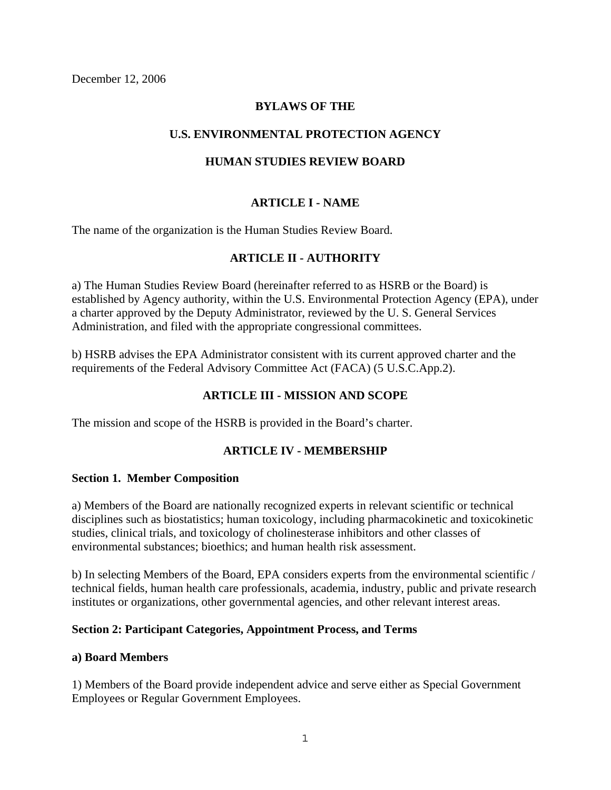December 12, 2006

### **BYLAWS OF THE**

### **U.S. ENVIRONMENTAL PROTECTION AGENCY**

### **HUMAN STUDIES REVIEW BOARD**

### **ARTICLE I - NAME**

The name of the organization is the Human Studies Review Board.

### **ARTICLE II - AUTHORITY**

a) The Human Studies Review Board (hereinafter referred to as HSRB or the Board) is established by Agency authority, within the U.S. Environmental Protection Agency (EPA), under a charter approved by the Deputy Administrator, reviewed by the U. S. General Services Administration, and filed with the appropriate congressional committees.

b) HSRB advises the EPA Administrator consistent with its current approved charter and the requirements of the Federal Advisory Committee Act (FACA) (5 U.S.C.App.2).

## **ARTICLE III - MISSION AND SCOPE**

The mission and scope of the HSRB is provided in the Board's charter.

## **ARTICLE IV - MEMBERSHIP**

#### **Section 1. Member Composition**

a) Members of the Board are nationally recognized experts in relevant scientific or technical disciplines such as biostatistics; human toxicology, including pharmacokinetic and toxicokinetic studies, clinical trials, and toxicology of cholinesterase inhibitors and other classes of environmental substances; bioethics; and human health risk assessment.

b) In selecting Members of the Board, EPA considers experts from the environmental scientific / technical fields, human health care professionals, academia, industry, public and private research institutes or organizations, other governmental agencies, and other relevant interest areas.

#### **Section 2: Participant Categories, Appointment Process, and Terms**

#### **a) Board Members**

1) Members of the Board provide independent advice and serve either as Special Government Employees or Regular Government Employees.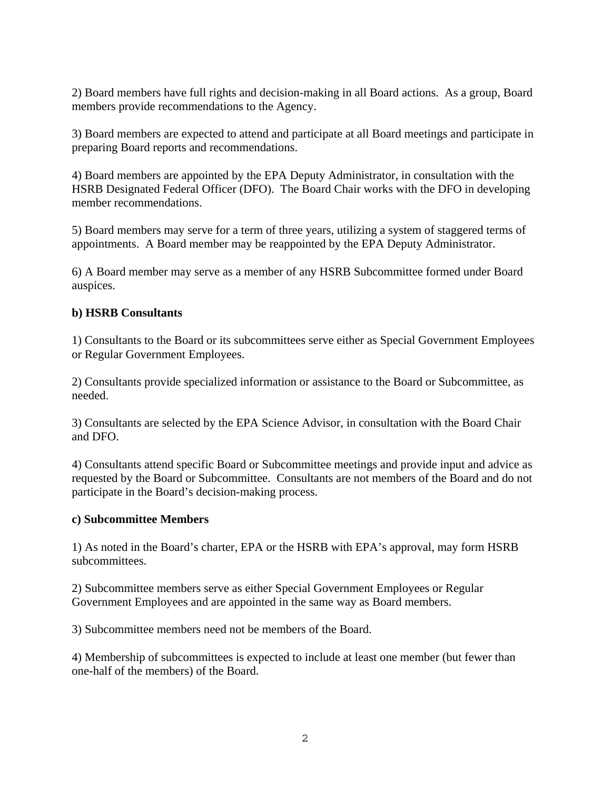2) Board members have full rights and decision-making in all Board actions. As a group, Board members provide recommendations to the Agency.

3) Board members are expected to attend and participate at all Board meetings and participate in preparing Board reports and recommendations.

4) Board members are appointed by the EPA Deputy Administrator, in consultation with the HSRB Designated Federal Officer (DFO). The Board Chair works with the DFO in developing member recommendations.

5) Board members may serve for a term of three years, utilizing a system of staggered terms of appointments. A Board member may be reappointed by the EPA Deputy Administrator.

6) A Board member may serve as a member of any HSRB Subcommittee formed under Board auspices.

## **b) HSRB Consultants**

1) Consultants to the Board or its subcommittees serve either as Special Government Employees or Regular Government Employees.

2) Consultants provide specialized information or assistance to the Board or Subcommittee, as needed.

3) Consultants are selected by the EPA Science Advisor, in consultation with the Board Chair and DFO.

4) Consultants attend specific Board or Subcommittee meetings and provide input and advice as requested by the Board or Subcommittee. Consultants are not members of the Board and do not participate in the Board's decision-making process.

## **c) Subcommittee Members**

1) As noted in the Board's charter, EPA or the HSRB with EPA's approval, may form HSRB subcommittees.

2) Subcommittee members serve as either Special Government Employees or Regular Government Employees and are appointed in the same way as Board members.

3) Subcommittee members need not be members of the Board.

4) Membership of subcommittees is expected to include at least one member (but fewer than one-half of the members) of the Board.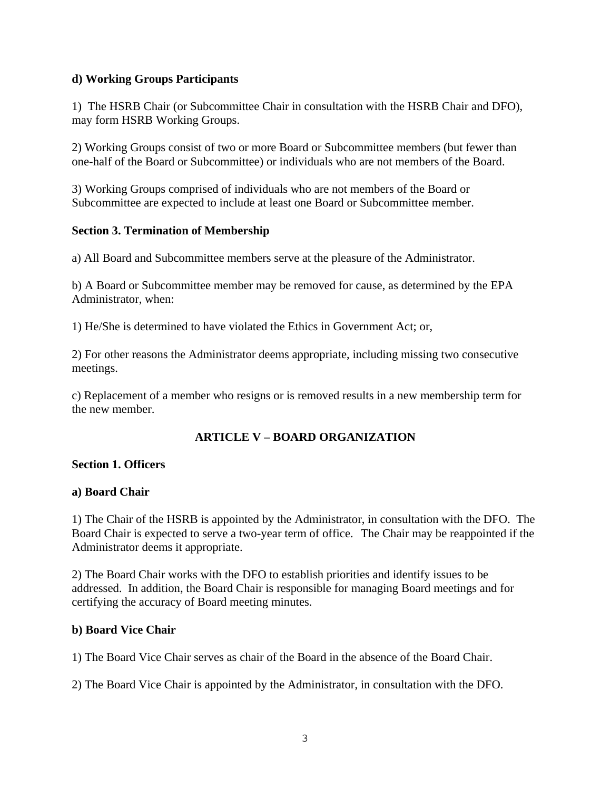### **d) Working Groups Participants**

1) The HSRB Chair (or Subcommittee Chair in consultation with the HSRB Chair and DFO), may form HSRB Working Groups.

2) Working Groups consist of two or more Board or Subcommittee members (but fewer than one-half of the Board or Subcommittee) or individuals who are not members of the Board.

3) Working Groups comprised of individuals who are not members of the Board or Subcommittee are expected to include at least one Board or Subcommittee member.

### **Section 3. Termination of Membership**

a) All Board and Subcommittee members serve at the pleasure of the Administrator.

b) A Board or Subcommittee member may be removed for cause, as determined by the EPA Administrator, when:

1) He/She is determined to have violated the Ethics in Government Act; or,

2) For other reasons the Administrator deems appropriate, including missing two consecutive meetings.

c) Replacement of a member who resigns or is removed results in a new membership term for the new member.

## **ARTICLE V – BOARD ORGANIZATION**

#### **Section 1. Officers**

#### **a) Board Chair**

1) The Chair of the HSRB is appointed by the Administrator, in consultation with the DFO. The Board Chair is expected to serve a two-year term of office. The Chair may be reappointed if the Administrator deems it appropriate.

2) The Board Chair works with the DFO to establish priorities and identify issues to be addressed. In addition, the Board Chair is responsible for managing Board meetings and for certifying the accuracy of Board meeting minutes.

#### **b) Board Vice Chair**

1) The Board Vice Chair serves as chair of the Board in the absence of the Board Chair.

2) The Board Vice Chair is appointed by the Administrator, in consultation with the DFO.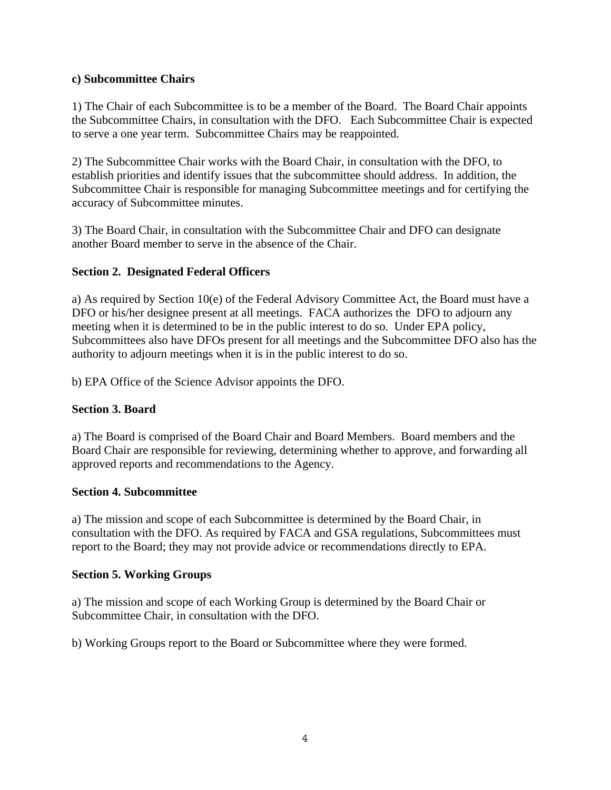### **c) Subcommittee Chairs**

1) The Chair of each Subcommittee is to be a member of the Board. The Board Chair appoints the Subcommittee Chairs, in consultation with the DFO. Each Subcommittee Chair is expected to serve a one year term. Subcommittee Chairs may be reappointed.

2) The Subcommittee Chair works with the Board Chair, in consultation with the DFO, to establish priorities and identify issues that the subcommittee should address. In addition, the Subcommittee Chair is responsible for managing Subcommittee meetings and for certifying the accuracy of Subcommittee minutes.

3) The Board Chair, in consultation with the Subcommittee Chair and DFO can designate another Board member to serve in the absence of the Chair.

## **Section 2. Designated Federal Officers**

a) As required by Section 10(e) of the Federal Advisory Committee Act, the Board must have a DFO or his/her designee present at all meetings. FACA authorizes the DFO to adjourn any meeting when it is determined to be in the public interest to do so. Under EPA policy, Subcommittees also have DFOs present for all meetings and the Subcommittee DFO also has the authority to adjourn meetings when it is in the public interest to do so.

b) EPA Office of the Science Advisor appoints the DFO.

## **Section 3. Board**

a) The Board is comprised of the Board Chair and Board Members. Board members and the Board Chair are responsible for reviewing, determining whether to approve, and forwarding all approved reports and recommendations to the Agency.

#### **Section 4. Subcommittee**

a) The mission and scope of each Subcommittee is determined by the Board Chair, in consultation with the DFO. As required by FACA and GSA regulations, Subcommittees must report to the Board; they may not provide advice or recommendations directly to EPA.

#### **Section 5. Working Groups**

a) The mission and scope of each Working Group is determined by the Board Chair or Subcommittee Chair, in consultation with the DFO.

b) Working Groups report to the Board or Subcommittee where they were formed.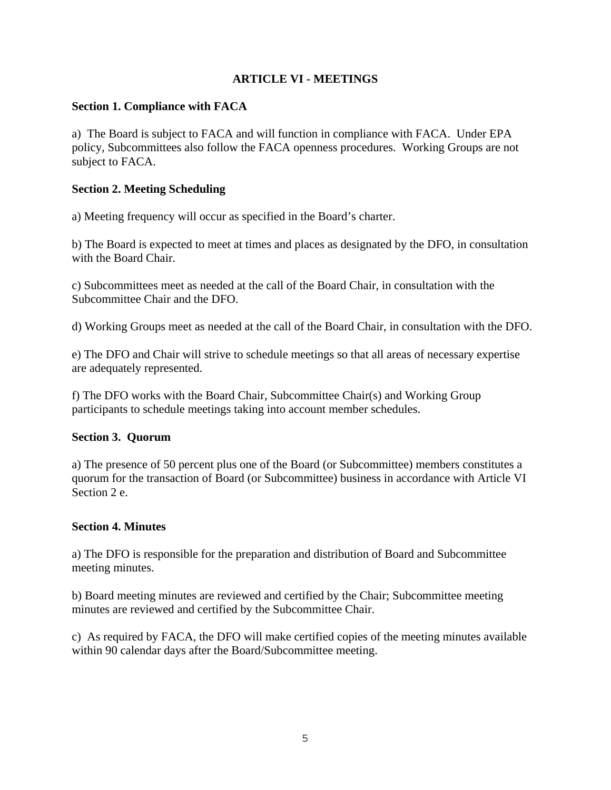## **ARTICLE VI - MEETINGS**

## **Section 1. Compliance with FACA**

a) The Board is subject to FACA and will function in compliance with FACA. Under EPA policy, Subcommittees also follow the FACA openness procedures. Working Groups are not subject to FACA.

## **Section 2. Meeting Scheduling**

a) Meeting frequency will occur as specified in the Board's charter.

b) The Board is expected to meet at times and places as designated by the DFO, in consultation with the Board Chair.

c) Subcommittees meet as needed at the call of the Board Chair, in consultation with the Subcommittee Chair and the DFO.

d) Working Groups meet as needed at the call of the Board Chair, in consultation with the DFO.

e) The DFO and Chair will strive to schedule meetings so that all areas of necessary expertise are adequately represented.

f) The DFO works with the Board Chair, Subcommittee Chair(s) and Working Group participants to schedule meetings taking into account member schedules.

## **Section 3. Quorum**

a) The presence of 50 percent plus one of the Board (or Subcommittee) members constitutes a quorum for the transaction of Board (or Subcommittee) business in accordance with Article VI Section 2 e.

## **Section 4. Minutes**

a) The DFO is responsible for the preparation and distribution of Board and Subcommittee meeting minutes.

b) Board meeting minutes are reviewed and certified by the Chair; Subcommittee meeting minutes are reviewed and certified by the Subcommittee Chair.

c) As required by FACA, the DFO will make certified copies of the meeting minutes available within 90 calendar days after the Board/Subcommittee meeting.